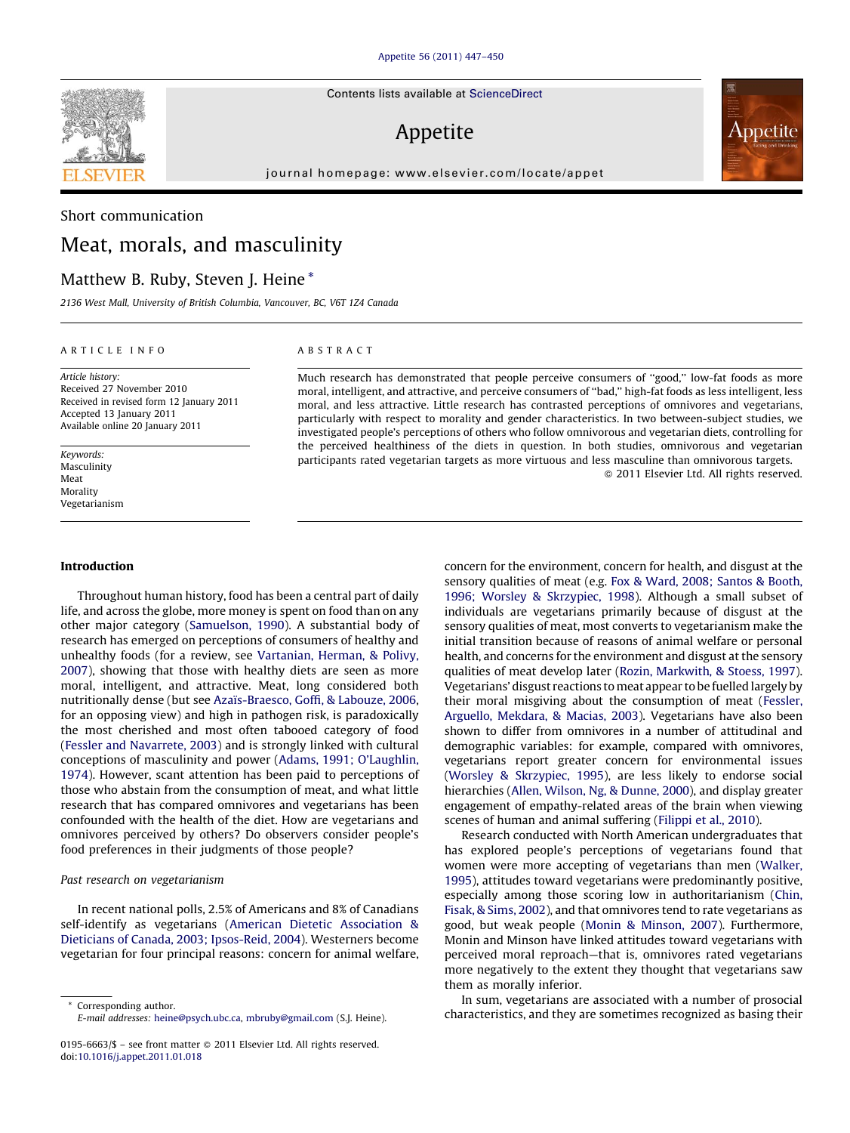Contents lists available at [ScienceDirect](http://www.sciencedirect.com/science/journal/01956663)

# Appetite

journal homepage: www.elsevier.com/locate/appet

# Short communication Meat, morals, and masculinity

# Matthew B. Ruby, Steven J. Heine \*

# 2136 West Mall, University of British Columbia, Vancouver, BC, V6T 1Z4 Canada

#### ARTICLE INFO

Article history: Received 27 November 2010 Received in revised form 12 January 2011 Accepted 13 January 2011 Available online 20 January 2011

Keywords: Masculinity Meat Morality Vegetarianism

#### Introduction

Throughout human history, food has been a central part of daily life, and across the globe, more money is spent on food than on any other major category ([Samuelson, 1990](#page-3-0)). A substantial body of research has emerged on perceptions of consumers of healthy and unhealthy foods (for a review, see [Vartanian, Herman, & Polivy,](#page-3-0) [2007\)](#page-3-0), showing that those with healthy diets are seen as more moral, intelligent, and attractive. Meat, long considered both nutritionally dense (but see Azaïs-Braesco, Goffi, & Labouze, 2006, for an opposing view) and high in pathogen risk, is paradoxically the most cherished and most often tabooed category of food ([Fessler and Navarrete, 2003](#page-3-0)) and is strongly linked with cultural conceptions of masculinity and power [\(Adams, 1991; O'Laughlin,](#page-3-0) [1974\)](#page-3-0). However, scant attention has been paid to perceptions of those who abstain from the consumption of meat, and what little research that has compared omnivores and vegetarians has been confounded with the health of the diet. How are vegetarians and omnivores perceived by others? Do observers consider people's food preferences in their judgments of those people?

# Past research on vegetarianism

In recent national polls, 2.5% of Americans and 8% of Canadians self-identify as vegetarians ([American Dietetic Association &](#page-3-0) [Dieticians of Canada, 2003; Ipsos-Reid, 2004\)](#page-3-0). Westerners become vegetarian for four principal reasons: concern for animal welfare,

# ABSTRACT

Much research has demonstrated that people perceive consumers of ''good,'' low-fat foods as more moral, intelligent, and attractive, and perceive consumers of ''bad,'' high-fat foods as less intelligent, less moral, and less attractive. Little research has contrasted perceptions of omnivores and vegetarians, particularly with respect to morality and gender characteristics. In two between-subject studies, we investigated people's perceptions of others who follow omnivorous and vegetarian diets, controlling for the perceived healthiness of the diets in question. In both studies, omnivorous and vegetarian participants rated vegetarian targets as more virtuous and less masculine than omnivorous targets. - 2011 Elsevier Ltd. All rights reserved.

> concern for the environment, concern for health, and disgust at the sensory qualities of meat (e.g. [Fox & Ward, 2008; Santos & Booth,](#page-3-0) [1996; Worsley & Skrzypiec, 1998\)](#page-3-0). Although a small subset of individuals are vegetarians primarily because of disgust at the sensory qualities of meat, most converts to vegetarianism make the initial transition because of reasons of animal welfare or personal health, and concerns for the environment and disgust at the sensory qualities of meat develop later [\(Rozin, Markwith, & Stoess, 1997\)](#page-3-0). Vegetarians' disgust reactions tomeat appear to be fuelled largely by their moral misgiving about the consumption of meat ([Fessler,](#page-3-0) [Arguello, Mekdara, & Macias, 2003\)](#page-3-0). Vegetarians have also been shown to differ from omnivores in a number of attitudinal and demographic variables: for example, compared with omnivores, vegetarians report greater concern for environmental issues ([Worsley & Skrzypiec, 1995](#page-3-0)), are less likely to endorse social hierarchies [\(Allen, Wilson, Ng, & Dunne, 2000](#page-3-0)), and display greater engagement of empathy-related areas of the brain when viewing scenes of human and animal suffering [\(Filippi et al., 2010](#page-3-0)).

> Research conducted with North American undergraduates that has explored people's perceptions of vegetarians found that women were more accepting of vegetarians than men [\(Walker,](#page-3-0) [1995\)](#page-3-0), attitudes toward vegetarians were predominantly positive, especially among those scoring low in authoritarianism [\(Chin,](#page-3-0) [Fisak, & Sims, 2002\)](#page-3-0), and that omnivores tend to rate vegetarians as good, but weak people [\(Monin & Minson, 2007](#page-3-0)). Furthermore, Monin and Minson have linked attitudes toward vegetarians with perceived moral reproach—that is, omnivores rated vegetarians more negatively to the extent they thought that vegetarians saw them as morally inferior.

> In sum, vegetarians are associated with a number of prosocial characteristics, and they are sometimes recognized as basing their





Corresponding author. E-mail addresses: [heine@psych.ubc.ca,](mailto:heine@psych.ubc.ca) [mbruby@gmail.com](mailto:mbruby@gmail.com) (S.J. Heine).

<sup>0195-6663/\$ –</sup> see front matter © 2011 Elsevier Ltd. All rights reserved. doi:[10.1016/j.appet.2011.01.018](http://dx.doi.org/10.1016/j.appet.2011.01.018)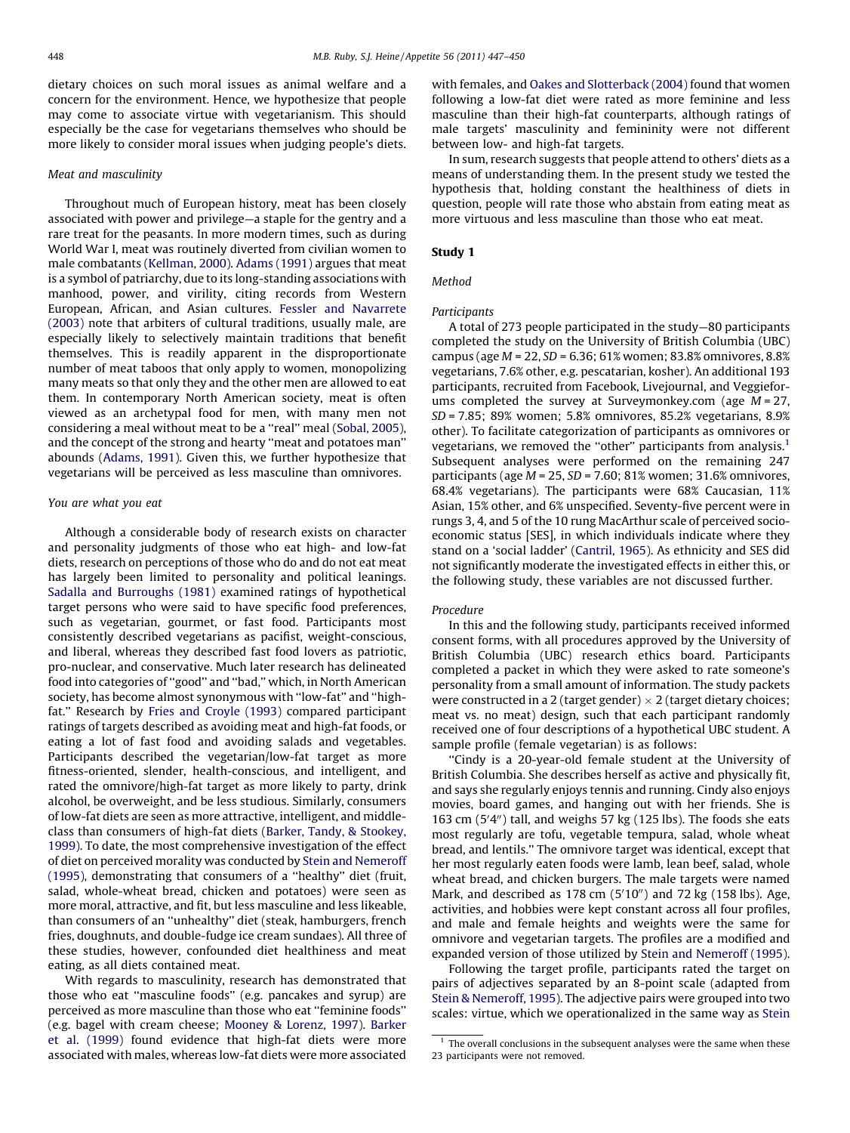dietary choices on such moral issues as animal welfare and a concern for the environment. Hence, we hypothesize that people may come to associate virtue with vegetarianism. This should especially be the case for vegetarians themselves who should be more likely to consider moral issues when judging people's diets.

# Meat and masculinity

Throughout much of European history, meat has been closely associated with power and privilege—a staple for the gentry and a rare treat for the peasants. In more modern times, such as during World War I, meat was routinely diverted from civilian women to male combatants [\(Kellman, 2000\)](#page-3-0). [Adams \(1991\)](#page-3-0) argues that meat is a symbol of patriarchy, due to its long-standing associations with manhood, power, and virility, citing records from Western European, African, and Asian cultures. [Fessler and Navarrete](#page-3-0) [\(2003\)](#page-3-0) note that arbiters of cultural traditions, usually male, are especially likely to selectively maintain traditions that benefit themselves. This is readily apparent in the disproportionate number of meat taboos that only apply to women, monopolizing many meats so that only they and the other men are allowed to eat them. In contemporary North American society, meat is often viewed as an archetypal food for men, with many men not considering a meal without meat to be a ''real'' meal [\(Sobal, 2005\)](#page-3-0), and the concept of the strong and hearty ''meat and potatoes man'' abounds [\(Adams, 1991\)](#page-3-0). Given this, we further hypothesize that vegetarians will be perceived as less masculine than omnivores.

# You are what you eat

Although a considerable body of research exists on character and personality judgments of those who eat high- and low-fat diets, research on perceptions of those who do and do not eat meat has largely been limited to personality and political leanings. [Sadalla and Burroughs \(1981\)](#page-3-0) examined ratings of hypothetical target persons who were said to have specific food preferences, such as vegetarian, gourmet, or fast food. Participants most consistently described vegetarians as pacifist, weight-conscious, and liberal, whereas they described fast food lovers as patriotic, pro-nuclear, and conservative. Much later research has delineated food into categories of ''good'' and ''bad,'' which, in North American society, has become almost synonymous with ''low-fat'' and ''highfat.'' Research by [Fries and Croyle \(1993\)](#page-3-0) compared participant ratings of targets described as avoiding meat and high-fat foods, or eating a lot of fast food and avoiding salads and vegetables. Participants described the vegetarian/low-fat target as more fitness-oriented, slender, health-conscious, and intelligent, and rated the omnivore/high-fat target as more likely to party, drink alcohol, be overweight, and be less studious. Similarly, consumers of low-fat diets are seen as more attractive, intelligent, and middleclass than consumers of high-fat diets ([Barker, Tandy, & Stookey,](#page-3-0) [1999](#page-3-0)). To date, the most comprehensive investigation of the effect of diet on perceived morality was conducted by [Stein and Nemeroff](#page-3-0) [\(1995\)](#page-3-0), demonstrating that consumers of a ''healthy'' diet (fruit, salad, whole-wheat bread, chicken and potatoes) were seen as more moral, attractive, and fit, but less masculine and less likeable, than consumers of an ''unhealthy'' diet (steak, hamburgers, french fries, doughnuts, and double-fudge ice cream sundaes). All three of these studies, however, confounded diet healthiness and meat eating, as all diets contained meat.

With regards to masculinity, research has demonstrated that those who eat ''masculine foods'' (e.g. pancakes and syrup) are perceived as more masculine than those who eat ''feminine foods'' (e.g. bagel with cream cheese; [Mooney & Lorenz, 1997](#page-3-0)). [Barker](#page-3-0) [et al. \(1999\)](#page-3-0) found evidence that high-fat diets were more associated with males, whereas low-fat diets were more associated

with females, and [Oakes and Slotterback \(2004\)](#page-3-0) found that women following a low-fat diet were rated as more feminine and less masculine than their high-fat counterparts, although ratings of male targets' masculinity and femininity were not different between low- and high-fat targets.

In sum, research suggests that people attend to others' diets as a means of understanding them. In the present study we tested the hypothesis that, holding constant the healthiness of diets in question, people will rate those who abstain from eating meat as more virtuous and less masculine than those who eat meat.

# Study 1

### Method

# Participants

A total of 273 people participated in the study—80 participants completed the study on the University of British Columbia (UBC) campus (age M = 22, SD = 6.36; 61% women; 83.8% omnivores, 8.8% vegetarians, 7.6% other, e.g. pescatarian, kosher). An additional 193 participants, recruited from Facebook, Livejournal, and Veggieforums completed the survey at Surveymonkey.com (age  $M = 27$ , SD = 7.85; 89% women; 5.8% omnivores, 85.2% vegetarians, 8.9% other). To facilitate categorization of participants as omnivores or vegetarians, we removed the "other" participants from analysis.<sup>1</sup> Subsequent analyses were performed on the remaining 247 participants (age  $M = 25$ ,  $SD = 7.60$ ; 81% women; 31.6% omnivores, 68.4% vegetarians). The participants were 68% Caucasian, 11% Asian, 15% other, and 6% unspecified. Seventy-five percent were in rungs 3, 4, and 5 of the 10 rung MacArthur scale of perceived socioeconomic status [SES], in which individuals indicate where they stand on a 'social ladder' [\(Cantril, 1965\)](#page-3-0). As ethnicity and SES did not significantly moderate the investigated effects in either this, or the following study, these variables are not discussed further.

#### Procedure

In this and the following study, participants received informed consent forms, with all procedures approved by the University of British Columbia (UBC) research ethics board. Participants completed a packet in which they were asked to rate someone's personality from a small amount of information. The study packets were constructed in a 2 (target gender)  $\times$  2 (target dietary choices; meat vs. no meat) design, such that each participant randomly received one of four descriptions of a hypothetical UBC student. A sample profile (female vegetarian) is as follows:

''Cindy is a 20-year-old female student at the University of British Columbia. She describes herself as active and physically fit, and says she regularly enjoys tennis and running. Cindy also enjoys movies, board games, and hanging out with her friends. She is 163 cm  $(5'4'')$  tall, and weighs 57 kg  $(125$  lbs). The foods she eats most regularly are tofu, vegetable tempura, salad, whole wheat bread, and lentils.'' The omnivore target was identical, except that her most regularly eaten foods were lamb, lean beef, salad, whole wheat bread, and chicken burgers. The male targets were named Mark, and described as  $178$  cm  $(5'10'')$  and  $72$  kg  $(158$  lbs). Age, activities, and hobbies were kept constant across all four profiles, and male and female heights and weights were the same for omnivore and vegetarian targets. The profiles are a modified and expanded version of those utilized by [Stein and Nemeroff \(1995\).](#page-3-0)

Following the target profile, participants rated the target on pairs of adjectives separated by an 8-point scale (adapted from [Stein & Nemeroff, 1995\)](#page-3-0). The adjective pairs were grouped into two scales: virtue, which we operationalized in the same way as [Stein](#page-3-0)

 $1$  The overall conclusions in the subsequent analyses were the same when these 23 participants were not removed.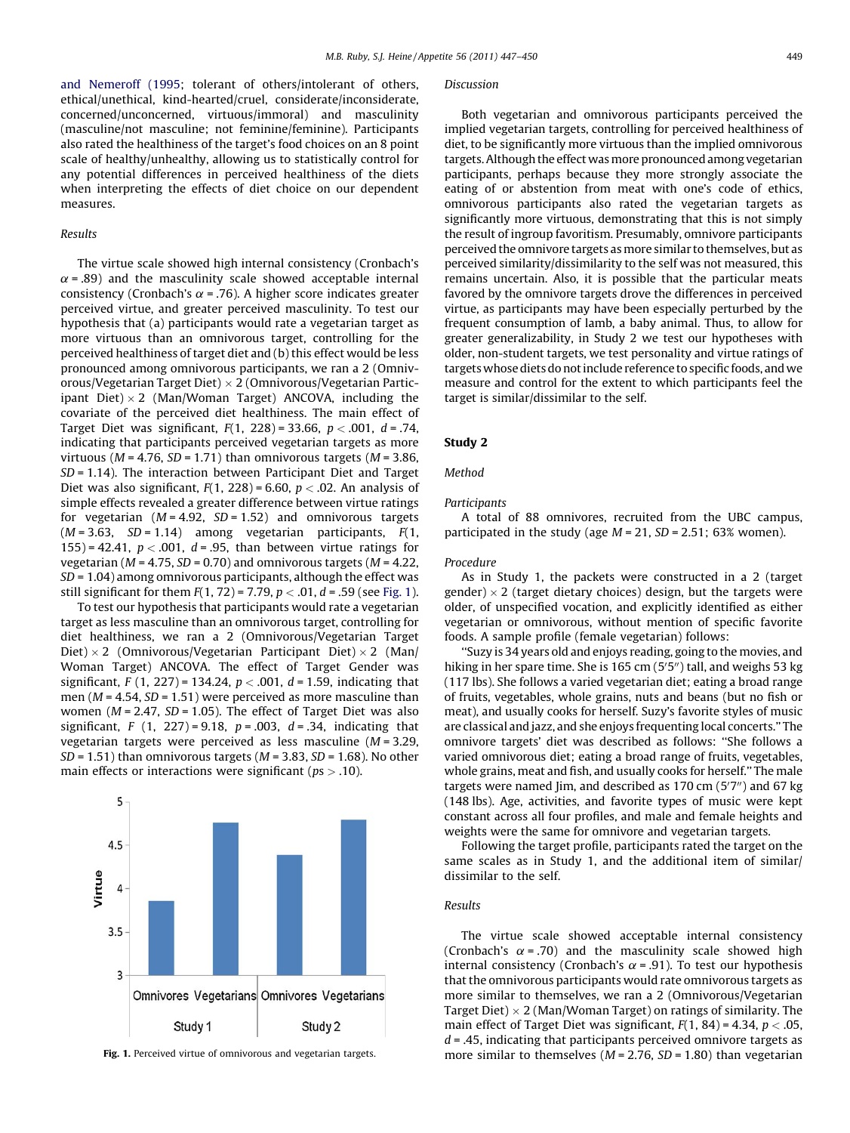[and Nemeroff \(1995](#page-3-0); tolerant of others/intolerant of others, ethical/unethical, kind-hearted/cruel, considerate/inconsiderate, concerned/unconcerned, virtuous/immoral) and masculinity (masculine/not masculine; not feminine/feminine). Participants also rated the healthiness of the target's food choices on an 8 point scale of healthy/unhealthy, allowing us to statistically control for any potential differences in perceived healthiness of the diets when interpreting the effects of diet choice on our dependent measures.

# Results

The virtue scale showed high internal consistency (Cronbach's  $\alpha$  = .89) and the masculinity scale showed acceptable internal consistency (Cronbach's  $\alpha$  = .76). A higher score indicates greater perceived virtue, and greater perceived masculinity. To test our hypothesis that (a) participants would rate a vegetarian target as more virtuous than an omnivorous target, controlling for the perceived healthiness of target diet and (b) this effect would be less pronounced among omnivorous participants, we ran a 2 (Omnivorous/Vegetarian Target Diet)  $\times$  2 (Omnivorous/Vegetarian Participant Diet) $\times 2$  (Man/Woman Target) ANCOVA, including the covariate of the perceived diet healthiness. The main effect of Target Diet was significant,  $F(1, 228) = 33.66$ ,  $p < .001$ ,  $d = .74$ , indicating that participants perceived vegetarian targets as more virtuous ( $M = 4.76$ ,  $SD = 1.71$ ) than omnivorous targets ( $M = 3.86$ , SD = 1.14). The interaction between Participant Diet and Target Diet was also significant,  $F(1, 228) = 6.60$ ,  $p < .02$ . An analysis of simple effects revealed a greater difference between virtue ratings for vegetarian  $(M = 4.92, SD = 1.52)$  and omnivorous targets  $(M = 3.63, SD = 1.14)$  among vegetarian participants,  $F(1,$ 155) = 42.41,  $p < .001$ ,  $d = .95$ , than between virtue ratings for vegetarian ( $M = 4.75$ ,  $SD = 0.70$ ) and omnivorous targets ( $M = 4.22$ ,  $SD = 1.04$ ) among omnivorous participants, although the effect was still significant for them  $F(1, 72) = 7.79$ ,  $p < .01$ ,  $d = .59$  (see Fig. 1).

To test our hypothesis that participants would rate a vegetarian target as less masculine than an omnivorous target, controlling for diet healthiness, we ran a 2 (Omnivorous/Vegetarian Target Diet)  $\times$  2 (Omnivorous/Vegetarian Participant Diet)  $\times$  2 (Man/ Woman Target) ANCOVA. The effect of Target Gender was significant, F (1, 227) = 134.24,  $p < .001$ ,  $d = 1.59$ , indicating that men ( $M = 4.54$ ,  $SD = 1.51$ ) were perceived as more masculine than women ( $M = 2.47$ ,  $SD = 1.05$ ). The effect of Target Diet was also significant, F  $(1, 227) = 9.18$ ,  $p = .003$ ,  $d = .34$ , indicating that vegetarian targets were perceived as less masculine  $(M = 3.29,$  $SD = 1.51$ ) than omnivorous targets ( $M = 3.83$ ,  $SD = 1.68$ ). No other main effects or interactions were significant ( $ps > .10$ ).



#### **Discussion**

Both vegetarian and omnivorous participants perceived the implied vegetarian targets, controlling for perceived healthiness of diet, to be significantly more virtuous than the implied omnivorous targets. Although the effect wasmore pronounced among vegetarian participants, perhaps because they more strongly associate the eating of or abstention from meat with one's code of ethics, omnivorous participants also rated the vegetarian targets as significantly more virtuous, demonstrating that this is not simply the result of ingroup favoritism. Presumably, omnivore participants perceived the omnivore targets as more similar to themselves, but as perceived similarity/dissimilarity to the self was not measured, this remains uncertain. Also, it is possible that the particular meats favored by the omnivore targets drove the differences in perceived virtue, as participants may have been especially perturbed by the frequent consumption of lamb, a baby animal. Thus, to allow for greater generalizability, in Study 2 we test our hypotheses with older, non-student targets, we test personality and virtue ratings of targetswhose diets do not include reference to specific foods, and we measure and control for the extent to which participants feel the target is similar/dissimilar to the self.

# Study 2

Method

## **Participants**

A total of 88 omnivores, recruited from the UBC campus, participated in the study (age  $M = 21$ ,  $SD = 2.51$ ; 63% women).

# Procedure

As in Study 1, the packets were constructed in a 2 (target gender)  $\times$  2 (target dietary choices) design, but the targets were older, of unspecified vocation, and explicitly identified as either vegetarian or omnivorous, without mention of specific favorite foods. A sample profile (female vegetarian) follows:

''Suzy is 34 years old and enjoys reading, going to the movies, and hiking in her spare time. She is 165 cm (5'5") tall, and weighs 53 kg (117 lbs). She follows a varied vegetarian diet; eating a broad range of fruits, vegetables, whole grains, nuts and beans (but no fish or meat), and usually cooks for herself. Suzy's favorite styles of music are classical and jazz, and she enjoys frequenting local concerts.'' The omnivore targets' diet was described as follows: ''She follows a varied omnivorous diet; eating a broad range of fruits, vegetables, whole grains, meat and fish, and usually cooks for herself.'' The male targets were named Jim, and described as  $170 \text{ cm}$  ( $5'7''$ ) and  $67 \text{ kg}$ (148 lbs). Age, activities, and favorite types of music were kept constant across all four profiles, and male and female heights and weights were the same for omnivore and vegetarian targets.

Following the target profile, participants rated the target on the same scales as in Study 1, and the additional item of similar/ dissimilar to the self.

### Results

The virtue scale showed acceptable internal consistency (Cronbach's  $\alpha$  = .70) and the masculinity scale showed high internal consistency (Cronbach's  $\alpha$  = .91). To test our hypothesis that the omnivorous participants would rate omnivorous targets as more similar to themselves, we ran a 2 (Omnivorous/Vegetarian Target Diet)  $\times$  2 (Man/Woman Target) on ratings of similarity. The main effect of Target Diet was significant,  $F(1, 84) = 4.34$ ,  $p < .05$ ,  $d = 0.45$ , indicating that participants perceived omnivore targets as Fig. 1. Perceived virtue of omnivorous and vegetarian targets. more similar to themselves  $(M = 2.76, SD = 1.80)$  than vegetarian